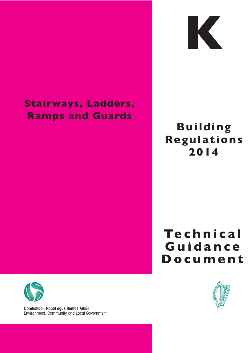## **Stairways, Ladders, Ramps and Guards**



## **Building Regulat ions 2014**

# **Te c h n i c a l G u i d a n c e D o c u m e n t**





Environment, Community and Local Government **Comhshaol, Pobal agus Rialtas Áitiúil**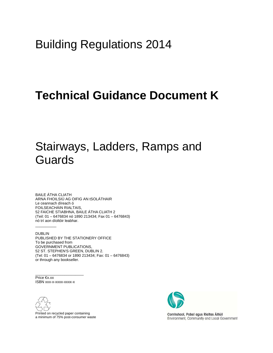## Building Regulations 2014

## **Technical Guidance Document K**

## Stairways, Ladders, Ramps and Guards

BAILE ÁTHA CLIATH ARNA FHOILSIÚ AG OIFIG AN tSOLÁTHAIR Le ceannach díreach ó FOILSEACHÁIN RIALTAIS, 52 FAICHE STIABHNA, BAILE ÁTHA CLIATH 2 (Teil: 01 – 6476834 nó 1890 213434; Fax 01 – 6476843) nó trí aon díoltóir leabhar.

DUBLIN PUBLISHED BY THE STATIONERY OFFICE To be purchased from GOVERNMENT PUBLICATIONS, 52 ST. STEPHEN'S GREEN, DUBLIN 2. (Tel: 01 – 6476834 or 1890 213434; Fax: 01 – 6476843) or through any bookseller.

Price €x.xx ISBN xxx-x-xxxx-xxxx-x

 $\overline{\phantom{a}}$  , and the set of the set of the set of the set of the set of the set of the set of the set of the set of the set of the set of the set of the set of the set of the set of the set of the set of the set of the s

 $\frac{1}{2}$ 



Printed on recycled paper containing a minimum of 75% post-consumer waste



Comhshaol, Pobal agus Rialtas Áitiúil Environment, Community and Local Government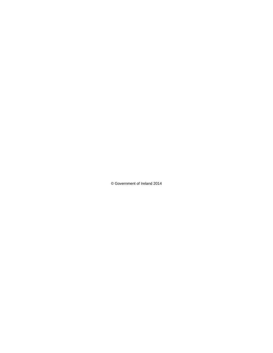© Government of Ireland 2014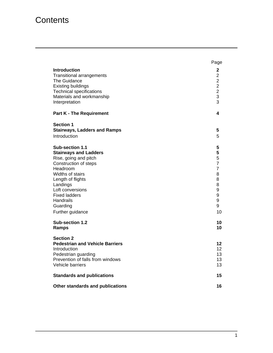### **Contents**

|                                                                                                                                                                                                                                                                                | Page                                                                                                    |
|--------------------------------------------------------------------------------------------------------------------------------------------------------------------------------------------------------------------------------------------------------------------------------|---------------------------------------------------------------------------------------------------------|
| <b>Introduction</b><br><b>Transitional arrangements</b><br>The Guidance<br><b>Existing buildings</b><br><b>Technical specifications</b><br>Materials and workmanship<br>Interpretation                                                                                         | $\mathbf{2}$<br>$\overline{2}$<br>$\overline{2}$<br>$\overline{\mathbf{c}}$<br>$\overline{2}$<br>3<br>3 |
| <b>Part K - The Requirement</b>                                                                                                                                                                                                                                                | 4                                                                                                       |
| <b>Section 1</b><br><b>Stairways, Ladders and Ramps</b><br>Introduction                                                                                                                                                                                                        | 5<br>5                                                                                                  |
| Sub-section 1.1<br><b>Stairways and Ladders</b><br>Rise, going and pitch<br>Construction of steps<br>Headroom<br>Widths of stairs<br>Length of flights<br>Landings<br>Loft conversions<br><b>Fixed ladders</b><br>Handrails<br>Guarding<br>Further guidance<br>Sub-section 1.2 | 5<br>5<br>5<br>7<br>$\overline{7}$<br>8<br>8<br>8<br>9<br>9<br>9<br>9<br>10<br>10                       |
| Ramps                                                                                                                                                                                                                                                                          | 10                                                                                                      |
| <b>Section 2</b><br><b>Pedestrian and Vehicle Barriers</b><br>Introduction<br>Pedestrian guarding<br>Prevention of falls from windows<br><b>Vehicle barriers</b><br><b>Standards and publications</b>                                                                          | 12<br>12 <sup>2</sup><br>13<br>13<br>13<br>15                                                           |
| Other standards and publications                                                                                                                                                                                                                                               | 16                                                                                                      |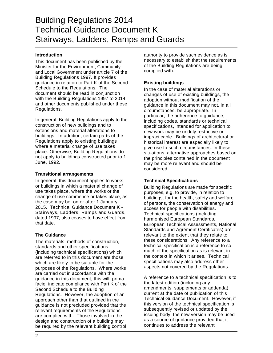### Building Regulations 2014 Technical Guidance Document K Stairways, Ladders, Ramps and Guards

#### **Introduction**

This document has been published by the Minister for the Environment, Community and Local Government under article 7 of the Building Regulations 1997. It provides guidance in relation to Part K of the Second Schedule to the Regulations. The document should be read in conjunction with the Building Regulations 1997 to 2014. and other documents published under these Regulations.

In general, Building Regulations apply to the construction of new buildings and to extensions and material alterations to buildings. In addition, certain parts of the Regulations apply to existing buildings where a material change of use takes place. Otherwise, Building Regulations do not apply to buildings constructed prior to 1 June, 1992.

#### **Transitional arrangements**

In general, this document applies to works, or buildings in which a material change of use takes place, where the works or the change of use commence or takes place, as the case may be, on or after 1 January 2015. Technical Guidance Document K - Stairways, Ladders, Ramps and Guards, dated 1997, also ceases to have effect from that date.

#### **The Guidance**

The materials, methods of construction, standards and other specifications (including technical specifications) which are referred to in this document are those which are likely to be suitable for the purposes of the Regulations. Where works are carried out in accordance with the guidance in this document, this will, prima facie, indicate compliance with Part K of the Second Schedule to the Building Regulations. However, the adoption of an approach other than that outlined in the guidance is not precluded provided that the relevant requirements of the Regulations are complied with. Those involved in the design and construction of a building may be required by the relevant building control

authority to provide such evidence as is necessary to establish that the requirements of the Building Regulations are being complied with.

#### **Existing buildings**

In the case of material alterations or changes of use of existing buildings, the adoption without modification of the guidance in this document may not, in all circumstances, be appropriate. In particular, the adherence to guidance, including codes, standards or technical specifications, intended for application to new work may be unduly restrictive or impracticable. Buildings of architectural or historical interest are especially likely to give rise to such circumstances. In these situations, alternative approaches based on the principles contained in the document may be more relevant and should be considered.

#### **Technical Specifications**

Building Regulations are made for specific purposes, e.g. to provide, in relation to buildings, for the health, safety and welfare of persons, the conservation of energy and access for people with disabilities. Technical specifications (including harmonised European Standards, European Technical Assessments, National Standards and Agrément Certificates) are relevant to the extent that they relate to these considerations. Any reference to a technical specification is a reference to so much of the specification as is relevant in the context in which it arises. Technical specifications may also address other aspects not covered by the Regulations.

A reference to a technical specification is to the latest edition (including any amendments, supplements or addenda) current at the date of publication of this Technical Guidance Document. However, if this version of the technical specification is subsequently revised or updated by the issuing body, the new version may be used as a source of guidance provided that it continues to address the relevant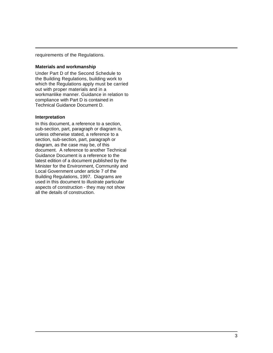requirements of the Regulations.

#### **Materials and workmanship**

Under Part D of the Second Schedule to the Building Regulations, building work to which the Regulations apply must be carried out with proper materials and in a workmanlike manner. Guidance in relation to compliance with Part D is contained in Technical Guidance Document D.

#### **Interpretation**

In this document, a reference to a section, sub-section, part, paragraph or diagram is, unless otherwise stated, a reference to a section, sub-section, part, paragraph or diagram, as the case may be, of this document. A reference to another Technical Guidance Document is a reference to the latest edition of a document published by the Minister for the Environment, Community and Local Government under article 7 of the Building Regulations, 1997. Diagrams are used in this document to illustrate particular aspects of construction - they may not show all the details of construction.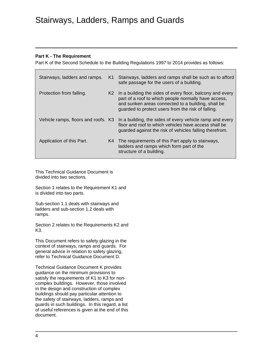### Stairways, Ladders, Ramps and Guards

#### **Part K - The Requirement**

Part K of the Second Schedule to the Building Regulations 1997 to 2014 provides as follows:

| Stairways, ladders and ramps.       | K1             | Stairways, ladders and ramps shall be such as to afford<br>safe passage for the users of a building.                                                                                                                          |
|-------------------------------------|----------------|-------------------------------------------------------------------------------------------------------------------------------------------------------------------------------------------------------------------------------|
| Protection from falling.            | K <sub>2</sub> | In a building the sides of every floor, balcony and every<br>part of a roof to which people normally have access,<br>and sunken areas connected to a building, shall be<br>guarded to protect users from the risk of falling. |
| Vehicle ramps, floors and roofs. K3 |                | In a building, the sides of every vehicle ramp and every<br>floor and roof to which vehicles have access shall be<br>guarded against the risk of vehicles falling therefrom.                                                  |
| Application of this Part.           |                | K4 The requirements of this Part apply to stairways,<br>ladders and ramps which form part of the<br>structure of a building.                                                                                                  |

This Technical Guidance Document is divided into two sections.

Section 1 relates to the Requirement K1 and is divided into two parts.

Sub-section 1.1 deals with stairways and ladders and sub-section 1.2 deals with ramps.

Section 2 relates to the Requirements K2 and K3.

This Document refers to safety glazing in the context of stairways, ramps and guards. For general advice in relation to safety glazing, refer to Technical Guidance Document D.

Technical Guidance Document K provides guidance on the minimum provisions to satisfy the requirements of K1 to K3 for noncomplex buildings. However, those involved in the design and construction of complex buildings should pay particular attention to the safety of stairways, ladders, ramps and guards in such buildings. In this regard, a list of useful references is given at the end of this document.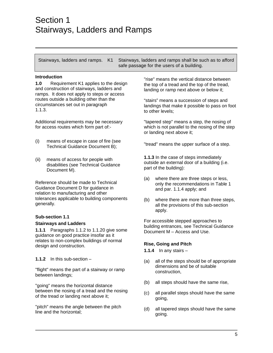Stairways, ladders and ramps. K1 Stairways, ladders and ramps shall be such as to afford safe passage for the users of a building.

#### **Introduction**

**1.0** Requirement K1 applies to the design and construction of stairways, ladders and ramps. It does not apply to steps or access routes outside a building other than the circumstances set out in paragraph 1.1.3.

Additional requirements may be necessary for access routes which form part of:-

- (i) means of escape in case of fire (see Technical Guidance Document B);
- (ii) means of access for people with disabilities (see Technical Guidance Document M).

Reference should be made to Technical Guidance Document D for guidance in relation to manufacturing and other tolerances applicable to building components generally.

#### **Sub-section 1.1 Stairways and Ladders**

**1.1.1** Paragraphs 1.1.2 to 1.1.20 give some guidance on good practice insofar as it relates to non-complex buildings of normal design and construction.

**1.1.2** In this sub-section –

"flight" means the part of a stairway or ramp between landings;

"going" means the horizontal distance between the nosing of a tread and the nosing of the tread or landing next above it;

"pitch" means the angle between the pitch line and the horizontal;

"rise" means the vertical distance between the top of a tread and the top of the tread, landing or ramp next above or below it;

"stairs" means a succession of steps and landings that make it possible to pass on foot to other levels;

"tapered step" means a step, the nosing of which is not parallel to the nosing of the step or landing next above it;

"tread" means the upper surface of a step.

**1.1.3** In the case of steps immediately outside an external door of a building (i.e. part of the building):

- (a) where there are three steps or less, only the recommendations in Table 1 and par. 1.1.4 apply; and
- (b) where there are more than three steps, all the provisions of this sub-section apply.

For accessible stepped approaches to building entrances, see Technical Guidance Document M – Access and Use.

#### **Rise, Going and Pitch**

**1.1.4** In any stairs –

- (a) all of the steps should be of appropriate dimensions and be of suitable construction,
- (b) all steps should have the same rise,
- (c) all parallel steps should have the same going,
- (d) all tapered steps should have the same going.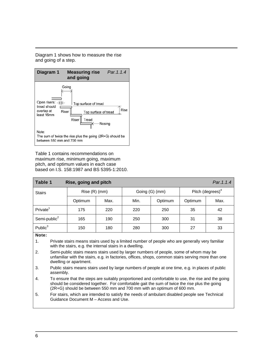Diagram 1 shows how to measure the rise and going of a step.



Table 1 contains recommendations on maximum rise, minimum going, maximum pitch, and optimum values in each case based on I.S. 158:1987 and BS 5395-1:2010.

| Table 1                                                                                                                                                          | Rise, going and pitch |      |                |         |                              | Par. 1.1.4 |
|------------------------------------------------------------------------------------------------------------------------------------------------------------------|-----------------------|------|----------------|---------|------------------------------|------------|
| <b>Stairs</b>                                                                                                                                                    | $Rise(R)$ (mm)        |      | Going (G) (mm) |         | Pitch (degrees) <sup>4</sup> |            |
|                                                                                                                                                                  | Optimum               | Max. | Min.           | Optimum | Optimum                      | Max.       |
| Private <sup>1</sup>                                                                                                                                             | 175                   | 220  | 220            | 250     | 35                           | 42         |
| Semi-public <sup>2</sup>                                                                                                                                         | 165                   | 190  | 250            | 300     | 31                           | 38         |
| Public $3$                                                                                                                                                       | 150                   | 180  | 280            | 300     | 27                           | 33         |
| Note:                                                                                                                                                            |                       |      |                |         |                              |            |
| Private stairs means stairs used by a limited number of people who are generally very familiar<br>1.<br>with the stairs, e.g. the internal stairs in a dwelling. |                       |      |                |         |                              |            |

2. Semi-public stairs means stairs used by larger numbers of people, some of whom may be unfamiliar with the stairs, e.g. in factories, offices, shops, common stairs serving more than one dwelling or apartment.

- 3. Public stairs means stairs used by large numbers of people at one time, e.g. in places of public assembly.
- 4. To ensure that the steps are suitably proportioned and comfortable to use, the rise and the going should be considered together. For comfortable gait the sum of twice the rise plus the going (2R+G) should be between 550 mm and 700 mm with an optimum of 600 mm.
- 5. For stairs, which are intended to satisfy the needs of ambulant disabled people see Technical Guidance Document M – Access and Use.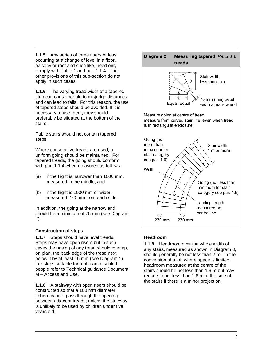**1.1.5** Any series of three risers or less occurring at a change of level in a floor, balcony or roof and such like, need only comply with Table 1 and par. 1.1.4. The other provisions of this sub-section do not apply in such cases.

**1.1.6** The varying tread width of a tapered step can cause people to misjudge distances and can lead to falls. For this reason, the use of tapered steps should be avoided. If it is necessary to use them, they should preferably be situated at the bottom of the stairs.

Public stairs should not contain tapered steps.

Where consecutive treads are used, a uniform going should be maintained. For tapered treads, the going should conform with par. 1.1.4 when measured as follows:

- (a) if the flight is narrower than 1000 mm, measured in the middle, and
- (b) if the flight is 1000 mm or wider, measured 270 mm from each side.

In addition, the going at the narrow end should be a minimum of 75 mm (see Diagram 2).

#### **Construction of steps**

**1.1.7** Steps should have level treads. Steps may have open risers but in such cases the nosing of any tread should overlap, on plan, the back edge of the tread next below it by at least 16 mm (see Diagram 1). For steps suitable for ambulant disabled people refer to Technical guidance Document M – Access and Use.

**1.1.8** A stairway with open risers should be constructed so that a 100 mm diameter sphere cannot pass through the opening between adjacent treads, unless the stairway is unlikely to be used by children under five years old.



#### **Headroom**

**1.1.9** Headroom over the whole width of any stairs, measured as shown in Diagram 3, should generally be not less than 2 m. In the conversion of a loft where space is limited, headroom measured at the centre of the stairs should be not less than 1.9 m but may reduce to not less than 1.8 m at the side of the stairs if there is a minor projection.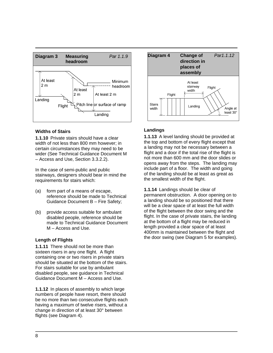

#### **Widths of Stairs**

**1.1.10** Private stairs should have a clear width of not less than 800 mm however; in certain circumstances they may need to be wider (See Technical Guidance Document M – Access and Use, Section 3.3.2.2).

In the case of semi-public and public stairways, designers should bear in mind the requirements for stairs which:

- (a) form part of a means of escape, reference should be made to Technical Guidance Document B – Fire Safety;
- (b) provide access suitable for ambulant disabled people, reference should be made to Technical Guidance Document M – Access and Use.

#### **Length of Flights**

**1.1.11** There should not be more than sixteen risers in any one flight. A flight containing one or two risers in private stairs should be situated at the bottom of the stairs. For stairs suitable for use by ambulant disabled people, see guidance in Technical Guidance Document M – Access and Use.

**1.1.12** In places of assembly to which large numbers of people have resort, there should be no more than two consecutive flights each having a maximum of twelve risers, without a change in direction of at least 30° between flights (see Diagram 4).



#### **Landings**

**1.1.13** A level landing should be provided at the top and bottom of every flight except that a landing may not be necessary between a flight and a door if the total rise of the flight is not more than 600 mm and the door slides or opens away from the steps. The landing may include part of a floor. The width and going of the landing should be at least as great as the smallest width of the flight.

**1.1.14** Landings should be clear of permanent obstruction. A door opening on to a landing should be so positioned that there will be a clear space of at least the full width of the flight between the door swing and the flight. In the case of private stairs, the landing at the bottom of a flight may be reduced in length provided a clear space of at least 400mm is maintained between the flight and the door swing (see Diagram 5 for examples).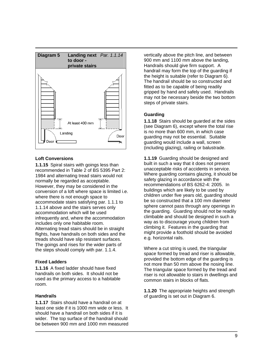

#### **Loft Conversions**

**1.1.15** Spiral stairs with goings less than recommended in Table 2 of BS 5395 Part 2: 1984 and alternating tread stairs would not normally be regarded as acceptable. However, they may be considered in the conversion of a loft where space is limited i.e. where there is not enough space to accommodate stairs satisfying par. 1.1.1 to 1.1.14 above and the stairs serves only accommodation which will be used infrequently and, where the accommodation includes only one habitable room. Alternating tread stairs should be in straight flights, have handrails on both sides and the treads should have slip resistant surfaces. The goings and rises for the wider parts of the steps should comply with par. 1.1.4.

#### **Fixed Ladders**

**1.1.16** A fixed ladder should have fixed handrails on both sides. It should not be used as the primary access to a habitable room.

#### **Handrails**

**1.1.17** Stairs should have a handrail on at least one side if it is 1000 mm wide or less. It should have a handrail on both sides if it is wider. The top surface of the handrail should be between 900 mm and 1000 mm measured vertically above the pitch line, and between 900 mm and 1100 mm above the landing, Handrails should give firm support. A handrail may form the top of the guarding if the height is suitable (refer to Diagram 6). The handrail should be so constructed and fitted as to be capable of being readily gripped by hand and safely used. Handrails may not be necessary beside the two bottom steps of private stairs.

#### **Guarding**

**1.1.18** Stairs should be guarded at the sides (see Diagram 6), except where the total rise is no more than 600 mm, in which case guarding may not be essential. Suitable guarding would include a wall, screen (including glazing), railing or balustrade.

**1.1.19** Guarding should be designed and built in such a way that it does not present unacceptable risks of accidents in service. Where guarding contains glazing, it should be safety glazing in accordance with the recommendations of BS 6262-4: 2005. In buildings which are likely to be used by children under five years old, guarding should be so constructed that a 100 mm diameter sphere cannot pass through any openings in the guarding. Guarding should not be readily climbable and should be designed in such a way as to discourage young children from climbing it. Features in the guarding that might provide a foothold should be avoided e.g. horizontal rails.

Where a cut string is used, the triangular space formed by tread and riser is allowable, provided the bottom edge of the guarding is not more than 50 mm above the nosing line. The triangular space formed by the tread and riser is not allowable to stairs in dwellings and common stairs in blocks of flats.

**1.1.20** The appropriate heights and strength of guarding is set out in Diagram 6.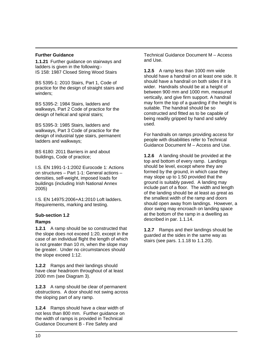#### **Further Guidance**

**1.1.21** Further guidance on stairways and ladders is given in the following:- IS 158: 1987 Closed String Wood Stairs

BS 5395-1: 2010 Stairs, Part 1, Code of practice for the design of straight stairs and winders;

BS 5395-2: 1984 Stairs, ladders and walkways, Part 2 Code of practice for the design of helical and spiral stairs;

BS 5395-3: 1985 Stairs, ladders and walkways, Part 3 Code of practice for the design of industrial type stairs, permanent ladders and walkways;

BS 6180: 2011 Barriers in and about buildings, Code of practice;

I.S. EN 1991-1-1:2002 Eurocode 1: Actions on structures – Part 1-1: General actions – densities, self-weight, imposed loads for buildings (including Irish National Annex 2005)

I.S. EN 14975:2006+A1:2010 Loft ladders. Requirements, marking and testing.

#### **Sub-section 1.2**

#### **Ramps**

**1.2.1** A ramp should be so constructed that the slope does not exceed 1:20, except in the case of an individual flight the length of which is not greater than 10 m, when the slope may be greater. Under no circumstances should the slope exceed 1:12.

**1.2.2** Ramps and their landings should have clear headroom throughout of at least 2000 mm (see Diagram 3).

**1.2.3** A ramp should be clear of permanent obstructions. A door should not swing across the sloping part of any ramp.

**1.2.4** Ramps should have a clear width of not less than 800 mm. Further guidance on the width of ramps is provided in Technical Guidance Document B - Fire Safety and

Technical Guidance Document M – Access and Use.

**1.2.5** A ramp less than 1000 mm wide should have a handrail on at least one side. It should have a handrail on both sides if it is wider. Handrails should be at a height of between 900 mm and 1000 mm, measured vertically, and give firm support. A handrail may form the top of a guarding if the height is suitable. The handrail should be so constructed and fitted as to be capable of being readily gripped by hand and safely used.

For handrails on ramps providing access for people with disabilities refer to Technical Guidance Document M – Access and Use.

**1.2.6** A landing should be provided at the top and bottom of every ramp. Landings should be level, except where they are formed by the ground, in which case they may slope up to 1:50 provided that the ground is suitably paved. A landing may include part of a floor. The width and length of the landing should be at least as great as the smallest width of the ramp and doors should open away from landings. However, a door swing may encroach on landing space at the bottom of the ramp in a dwelling as described in par. 1.1.14.

**1.2.7** Ramps and their landings should be guarded at the sides in the same way as stairs (see pars. 1.1.18 to 1.1.20).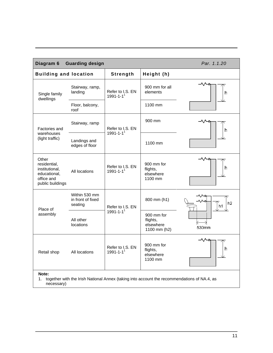| Diagram 6                                                                                                  | <b>Guarding design</b>                        |                                     |                                                     | Par. 1.1.20 |
|------------------------------------------------------------------------------------------------------------|-----------------------------------------------|-------------------------------------|-----------------------------------------------------|-------------|
| <b>Building and location</b>                                                                               |                                               | Strength                            | Height (h)                                          |             |
| Single family<br>dwellings                                                                                 | Stairway, ramp,<br>landing                    | Refer to I.S. EN<br>$1991 - 1 - 11$ | 900 mm for all<br>elements                          | h           |
|                                                                                                            | Floor, balcony,<br>roof                       |                                     | 1100 mm                                             |             |
| Factories and                                                                                              | Stairway, ramp                                | Refer to I.S. EN                    | 900 mm                                              | h           |
| warehouses<br>(light traffic)                                                                              | Landings and<br>edges of floor                | $1991 - 1 - 11$                     | 1100 mm                                             |             |
| Other<br>residential,<br>institutional,<br>educational,<br>office and<br>public buildings                  | All locations                                 | Refer to I.S. EN<br>$1991 - 1 - 11$ | 900 mm for<br>flights,<br>elsewhere<br>1100 mm      | h           |
| Place of                                                                                                   | Within 530 mm<br>in front of fixed<br>seating | Refer to I.S. EN                    | 800 mm (h1)                                         | h2<br>h1    |
| assembly                                                                                                   | All other<br>locations                        | $1991 - 1 - 11$                     | 900 mm for<br>flights,<br>elsewhere<br>1100 mm (h2) | 530mm       |
| Retail shop                                                                                                | All locations                                 | Refer to I.S. EN<br>$1991 - 1 - 11$ | 900 mm for<br>flights,<br>elsewhere<br>1100 mm      | h           |
| Note:<br>together with the Irish National Annex (taking into account the recommendations of NA.4, as<br>1. |                                               |                                     |                                                     |             |

necessary)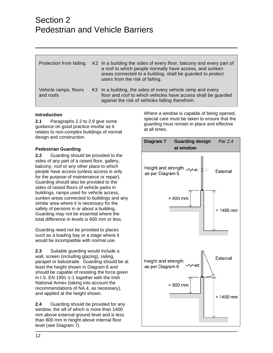### Section 2 Pedestrian and Vehicle Barriers

| Protection from falling.           | K2 In a building the sides of every floor, balcony and every part of<br>a roof to which people normally have access, and sunken<br>areas connected to a building, shall be guarded to protect<br>users from the risk of falling. |
|------------------------------------|----------------------------------------------------------------------------------------------------------------------------------------------------------------------------------------------------------------------------------|
| Vehicle ramps, floors<br>and roofs | K3 In a building, the sides of every vehicle ramp and every<br>floor and roof to which vehicles have access shall be guarded<br>against the risk of vehicles falling therefrom.                                                  |

#### **Introduction**

**2.1** Paragraphs 2.2 to 2.9 give some guidance on good practice insofar as it relates to non-complex buildings of normal design and construction.

#### **Pedestrian Guarding**

**2.2** Guarding should be provided to the sides of any part of a raised floor, gallery, balcony, roof or any other place to which people have access (unless access is only for the purpose of maintenance or repair). Guarding should also be provided to the sides of raised floors of vehicle parks in buildings, ramps used for vehicle access, sunken areas connected to buildings and any similar area where it is necessary for the safety of persons in or about a building. Guarding may not be essential where the total difference in levels is 600 mm or less.

Guarding need not be provided to places such as a loading bay or a stage where it would be incompatible with normal use.

**2.3** Suitable guarding would include a wall, screen (including glazing), railing, parapet or balustrade. Guarding should be at least the height shown in Diagram 6 and should be capable of resisting the force given in I.S. EN 1991-1-1 together with the Irish National Annex (taking into account the recommendations of NA.4, as necessary), and applied at the height shown.

**2.4** Guarding should be provided for any window, the sill of which is more than 1400 mm above external ground level and is less than 800 mm in height above internal floor level (see Diagram 7).

Where a window is capable of being opened, special care must be taken to ensure that the guarding must remain in place and effective at all times.

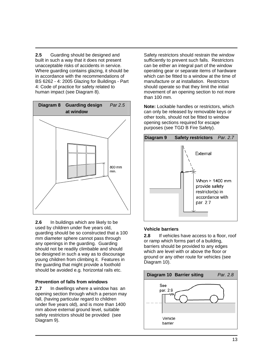**2.5** Guarding should be designed and built in such a way that it does not present unacceptable risks of accidents in service. Where guarding contains glazing, it should be in accordance with the recommendations of BS 6262 - 4: 2005 Glazing for Buildings - Part 4: Code of practice for safety related to human impact (see Diagram 8).



**2.6** In buildings which are likely to be used by children under five years old, guarding should be so constructed that a 100 mm diameter sphere cannot pass through any openings in the guarding. Guarding should not be readily climbable and should be designed in such a way as to discourage young children from climbing it. Features in the guarding that might provide a foothold should be avoided e.g. horizontal rails etc.

#### **Prevention of falls from windows**

**2.7** In dwellings where a window has an opening section through which a person may fall, (having particular regard to children under five years old), and is more than 1400 mm above external ground level, suitable safety restrictors should be provided (see Diagram 9).

Safety restrictors should restrain the window sufficiently to prevent such falls. Restrictors can be either an integral part of the window operating gear or separate items of hardware which can be fitted to a window at the time of manufacture or at installation. Restrictors should operate so that they limit the initial movement of an opening section to not more than 100 mm.

**Note:** Lockable handles or restrictors, which can only be released by removable keys or other tools, should not be fitted to window opening sections required for escape purposes (see TGD B Fire Safety).



#### **Vehicle barriers**

**2.8** If vehicles have access to a floor, roof or ramp which forms part of a building, barriers should be provided to any edges which are level with or above the floor or ground or any other route for vehicles (see Diagram 10).

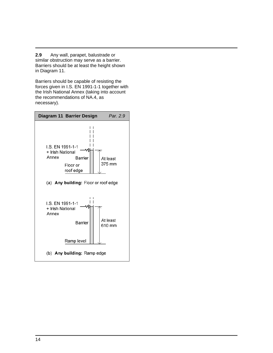**2.9** Any wall, parapet, balustrade or similar obstruction may serve as a barrier. Barriers should be at least the height shown in Diagram 11.

Barriers should be capable of resisting the forces given in I.S. EN 1991-1-1 together with the Irish National Annex (taking into account the recommendations of NA.4, as necessary).

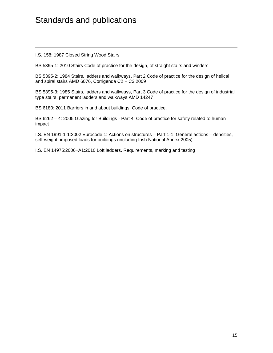### Standards and publications

I.S. 158: 1987 Closed String Wood Stairs

BS 5395-1: 2010 Stairs Code of practice for the design, of straight stairs and winders

BS 5395-2: 1984 Stairs, ladders and walkways, Part 2 Code of practice for the design of helical and spiral stairs AMD 6076, Corrigenda C2 + C3 2009

BS 5395-3: 1985 Stairs, ladders and walkways, Part 3 Code of practice for the design of industrial type stairs, permanent ladders and walkways AMD 14247

BS 6180: 2011 Barriers in and about buildings, Code of practice.

BS 6262 – 4: 2005 Glazing for Buildings - Part 4: Code of practice for safety related to human impact

I.S. EN 1991-1-1:2002 Eurocode 1: Actions on structures – Part 1-1: General actions – densities, self-weight, imposed loads for buildings (including Irish National Annex 2005)

I.S. EN 14975:2006+A1:2010 Loft ladders. Requirements, marking and testing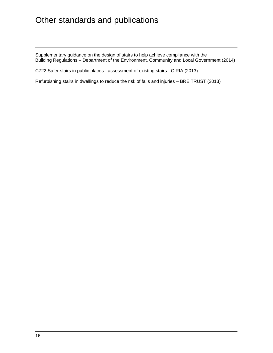## Other standards and publications

Supplementary guidance on the design of stairs to help achieve compliance with the Building Regulations – Department of the Environment, Community and Local Government (2014)

C722 Safer stairs in public places - assessment of existing stairs - CIRIA (2013)

Refurbishing stairs in dwellings to reduce the risk of falls and injuries – BRE TRUST (2013)